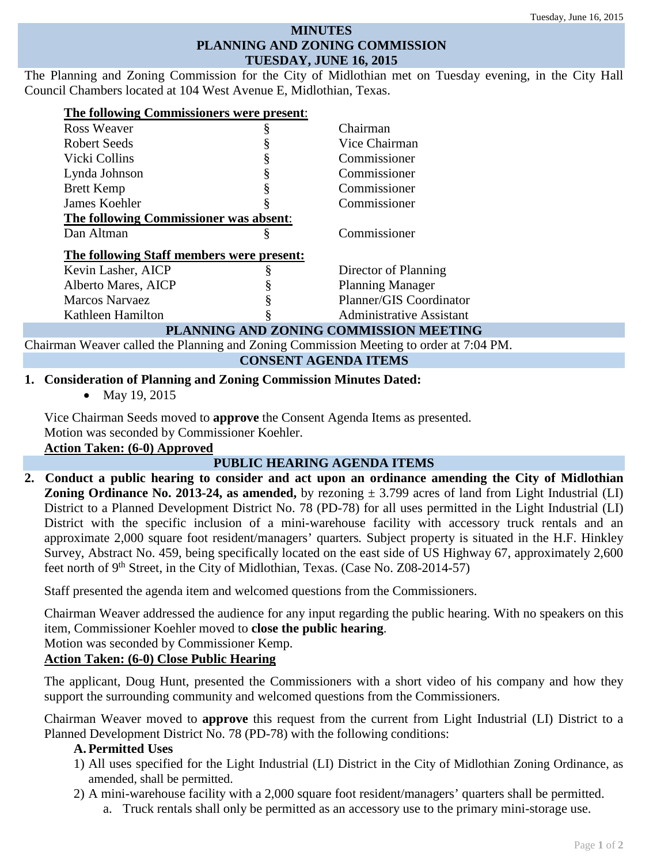#### **MINUTES PLANNING AND ZONING COMMISSION TUESDAY, JUNE 16, 2015**

The Planning and Zoning Commission for the City of Midlothian met on Tuesday evening, in the City Hall Council Chambers located at 104 West Avenue E, Midlothian, Texas.

| Ross Weaver                               | ş | Chairman                               |
|-------------------------------------------|---|----------------------------------------|
| Robert Seeds                              |   | Vice Chairman                          |
| Vicki Collins                             |   | Commissioner                           |
| Lynda Johnson                             |   | Commissioner                           |
| <b>Brett Kemp</b>                         |   | Commissioner                           |
| James Koehler                             |   | Commissioner                           |
| The following Commissioner was absent:    |   |                                        |
| Dan Altman                                | § | Commissioner                           |
| The following Staff members were present: |   |                                        |
| Kevin Lasher, AICP                        |   | Director of Planning                   |
| Alberto Mares, AICP                       |   | <b>Planning Manager</b>                |
| Marcos Narvaez                            |   | Planner/GIS Coordinator                |
| Kathleen Hamilton                         |   | <b>Administrative Assistant</b>        |
|                                           |   | PLANNING AND ZONING COMMISSION MEETING |

Chairman Weaver called the Planning and Zoning Commission Meeting to order at 7:04 PM.

**CONSENT AGENDA ITEMS**

## **1. Consideration of Planning and Zoning Commission Minutes Dated:**

• May 19, 2015

Vice Chairman Seeds moved to **approve** the Consent Agenda Items as presented. Motion was seconded by Commissioner Koehler.

## **Action Taken: (6-0) Approved**

# **PUBLIC HEARING AGENDA ITEMS**

**2. Conduct a public hearing to consider and act upon an ordinance amending the City of Midlothian Zoning Ordinance No. 2013-24, as amended,** by rezoning  $\pm$  3.799 acres of land from Light Industrial (LI) District to a Planned Development District No. 78 (PD-78) for all uses permitted in the Light Industrial (LI) District with the specific inclusion of a mini-warehouse facility with accessory truck rentals and an approximate 2,000 square foot resident/managers' quarters*.* Subject property is situated in the H.F. Hinkley Survey, Abstract No. 459, being specifically located on the east side of US Highway 67, approximately 2,600 feet north of  $9<sup>th</sup>$  Street, in the City of Midlothian, Texas. (Case No. Z08-2014-57)

Staff presented the agenda item and welcomed questions from the Commissioners.

Chairman Weaver addressed the audience for any input regarding the public hearing. With no speakers on this item, Commissioner Koehler moved to **close the public hearing**.

Motion was seconded by Commissioner Kemp.

# **Action Taken: (6-0) Close Public Hearing**

The applicant, Doug Hunt, presented the Commissioners with a short video of his company and how they support the surrounding community and welcomed questions from the Commissioners.

Chairman Weaver moved to **approve** this request from the current from Light Industrial (LI) District to a Planned Development District No. 78 (PD-78) with the following conditions:

# **A. Permitted Uses**

- 1) All uses specified for the Light Industrial (LI) District in the City of Midlothian Zoning Ordinance, as amended, shall be permitted.
- 2) A mini-warehouse facility with a 2,000 square foot resident/managers' quarters shall be permitted.
	- a. Truck rentals shall only be permitted as an accessory use to the primary mini-storage use.